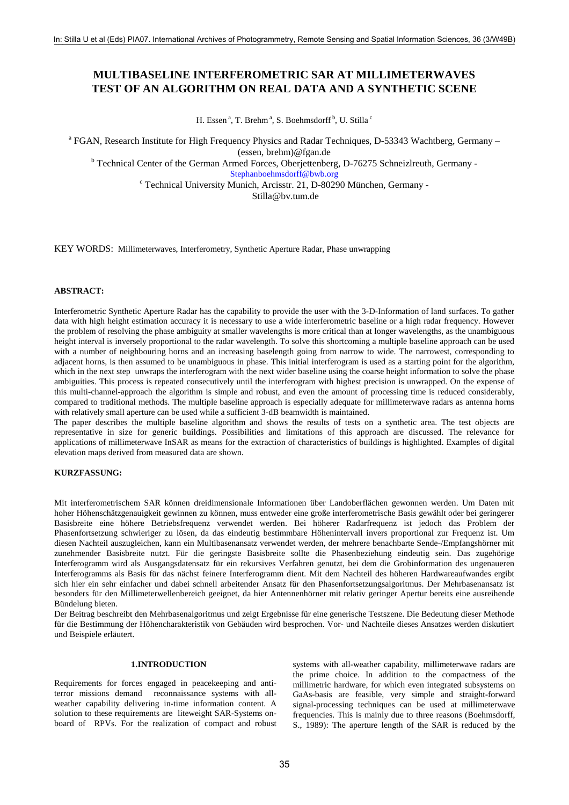# **MULTIBASELINE INTERFEROMETRIC SAR AT MILLIMETERWAVES TEST OF AN ALGORITHM ON REAL DATA AND A SYNTHETIC SCENE**

H. Essen<sup>a</sup>, T. Brehm<sup>a</sup>, S. Boehmsdorff<sup>b</sup>, U. Stilla<sup>c</sup>

<sup>a</sup> FGAN, Research Institute for High Frequency Physics and Radar Techniques, D-53343 Wachtberg, Germany -(essen, brehm)@fgan.de

<sup>b</sup> Technical Center of the German Armed Forces, Oberjettenberg, D-76275 Schneizlreuth, Germany -Stephanboehmsdorff@bwb.org

c Technical University Munich, Arcisstr. 21, D-80290 München, Germany -

Stilla@bv.tum.de

KEY WORDS: Millimeterwaves, Interferometry, Synthetic Aperture Radar, Phase unwrapping

## **ABSTRACT:**

Interferometric Synthetic Aperture Radar has the capability to provide the user with the 3-D-Information of land surfaces. To gather data with high height estimation accuracy it is necessary to use a wide interferometric baseline or a high radar frequency. However the problem of resolving the phase ambiguity at smaller wavelengths is more critical than at longer wavelengths, as the unambiguous height interval is inversely proportional to the radar wavelength. To solve this shortcoming a multiple baseline approach can be used with a number of neighbouring horns and an increasing baselength going from narrow to wide. The narrowest, corresponding to adjacent horns, is then assumed to be unambiguous in phase. This initial interferogram is used as a starting point for the algorithm, which in the next step unwraps the interferogram with the next wider baseline using the coarse height information to solve the phase ambiguities. This process is repeated consecutively until the interferogram with highest precision is unwrapped. On the expense of this multi-channel-approach the algorithm is simple and robust, and even the amount of processing time is reduced considerably, compared to traditional methods. The multiple baseline approach is especially adequate for millimeterwave radars as antenna horns with relatively small aperture can be used while a sufficient 3-dB beamwidth is maintained.

The paper describes the multiple baseline algorithm and shows the results of tests on a synthetic area. The test objects are representative in size for generic buildings. Possibilities and limitations of this approach are discussed. The relevance for applications of millimeterwave InSAR as means for the extraction of characteristics of buildings is highlighted. Examples of digital elevation maps derived from measured data are shown.

### **KURZFASSUNG:**

Mit interferometrischem SAR können dreidimensionale Informationen über Landoberflächen gewonnen werden. Um Daten mit hoher Höhenschätzgenauigkeit gewinnen zu können, muss entweder eine große interferometrische Basis gewählt oder bei geringerer Basisbreite eine höhere Betriebsfrequenz verwendet werden. Bei höherer Radarfrequenz ist jedoch das Problem der Phasenfortsetzung schwieriger zu lösen, da das eindeutig bestimmbare Höhenintervall invers proportional zur Frequenz ist. Um diesen Nachteil auszugleichen, kann ein Multibasenansatz verwendet werden, der mehrere benachbarte Sende-/Empfangshörner mit zunehmender Basisbreite nutzt. Für die geringste Basisbreite sollte die Phasenbeziehung eindeutig sein. Das zugehörige Interferogramm wird als Ausgangsdatensatz für ein rekursives Verfahren genutzt, bei dem die Grobinformation des ungenaueren Interferogramms als Basis für das nächst feinere Interferogramm dient. Mit dem Nachteil des höheren Hardwareaufwandes ergibt sich hier ein sehr einfacher und dabei schnell arbeitender Ansatz für den Phasenfortsetzungsalgoritmus. Der Mehrbasenansatz ist besonders für den Millimeterwellenbereich geeignet, da hier Antennenhörner mit relativ geringer Apertur bereits eine ausreihende Bündelung bieten.

Der Beitrag beschreibt den Mehrbasenalgoritmus und zeigt Ergebnisse für eine generische Testszene. Die Bedeutung dieser Methode für die Bestimmung der Höhencharakteristik von Gebäuden wird besprochen. Vor- und Nachteile dieses Ansatzes werden diskutiert und Beispiele erläutert.

# **1.INTRODUCTION**

Requirements for forces engaged in peacekeeping and antiterror missions demand reconnaissance systems with allweather capability delivering in-time information content. A solution to these requirements are liteweight SAR-Systems onboard of RPVs. For the realization of compact and robust systems with all-weather capability, millimeterwave radars are the prime choice. In addition to the compactness of the millimetric hardware, for which even integrated subsystems on GaAs-basis are feasible, very simple and straight-forward signal-processing techniques can be used at millimeterwave frequencies. This is mainly due to three reasons (Boehmsdorff, S., 1989): The aperture length of the SAR is reduced by the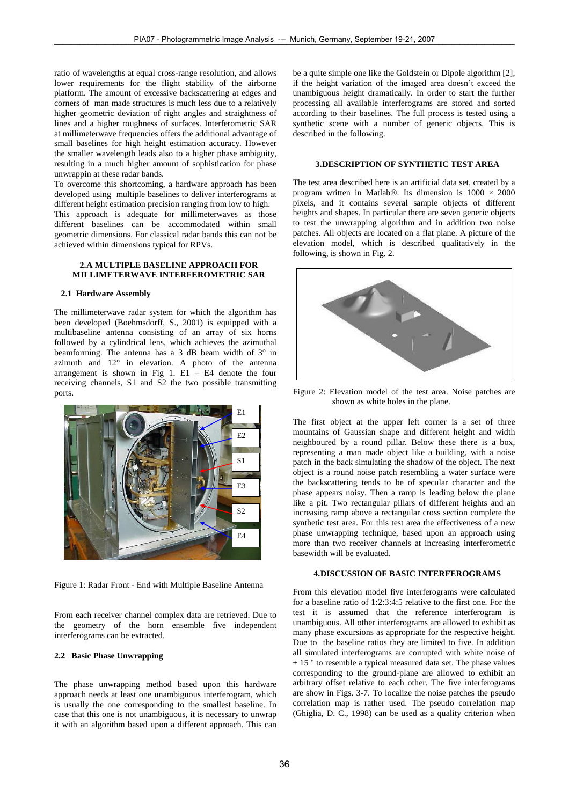ratio of wavelengths at equal cross-range resolution, and allows lower requirements for the flight stability of the airborne platform. The amount of excessive backscattering at edges and corners of man made structures is much less due to a relatively higher geometric deviation of right angles and straightness of lines and a higher roughness of surfaces. Interferometric SAR at millimeterwave frequencies offers the additional advantage of small baselines for high height estimation accuracy. However the smaller wavelength leads also to a higher phase ambiguity, resulting in a much higher amount of sophistication for phase unwrappin at these radar bands.

To overcome this shortcoming, a hardware approach has been developed using multiple baselines to deliver interferograms at different height estimation precision ranging from low to high.

This approach is adequate for millimeterwaves as those different baselines can be accommodated within small geometric dimensions. For classical radar bands this can not be achieved within dimensions typical for RPVs.

### **2.A MULTIPLE BASELINE APPROACH FOR MILLIMETERWAVE INTERFEROMETRIC SAR**

#### **2.1 Hardware Assembly**

The millimeterwave radar system for which the algorithm has been developed (Boehmsdorff, S., 2001) is equipped with a multibaseline antenna consisting of an array of six horns followed by a cylindrical lens, which achieves the azimuthal beamforming. The antenna has a 3 dB beam width of 3° in azimuth and 12° in elevation. A photo of the antenna arrangement is shown in Fig 1.  $E1 - E4$  denote the four receiving channels, S1 and S2 the two possible transmitting ports.



Figure 1: Radar Front - End with Multiple Baseline Antenna

From each receiver channel complex data are retrieved. Due to the geometry of the horn ensemble five independent interferograms can be extracted.

# **2.2 Basic Phase Unwrapping**

The phase unwrapping method based upon this hardware approach needs at least one unambiguous interferogram, which is usually the one corresponding to the smallest baseline. In case that this one is not unambiguous, it is necessary to unwrap it with an algorithm based upon a different approach. This can be a quite simple one like the Goldstein or Dipole algorithm [2], if the height variation of the imaged area doesn't exceed the unambiguous height dramatically. In order to start the further processing all available interferograms are stored and sorted according to their baselines. The full process is tested using a synthetic scene with a number of generic objects. This is described in the following.

## **3.DESCRIPTION OF SYNTHETIC TEST AREA**

The test area described here is an artificial data set, created by a program written in Matlab®. Its dimension is  $1000 \times 2000$ pixels, and it contains several sample objects of different heights and shapes. In particular there are seven generic objects to test the unwrapping algorithm and in addition two noise patches. All objects are located on a flat plane. A picture of the elevation model, which is described qualitatively in the following, is shown in Fig. 2.



Figure 2: Elevation model of the test area. Noise patches are shown as white holes in the plane.

The first object at the upper left corner is a set of three mountains of Gaussian shape and different height and width neighboured by a round pillar. Below these there is a box, representing a man made object like a building, with a noise patch in the back simulating the shadow of the object. The next object is a round noise patch resembling a water surface were the backscattering tends to be of specular character and the phase appears noisy. Then a ramp is leading below the plane like a pit. Two rectangular pillars of different heights and an increasing ramp above a rectangular cross section complete the synthetic test area. For this test area the effectiveness of a new phase unwrapping technique, based upon an approach using more than two receiver channels at increasing interferometric basewidth will be evaluated.

### **4.DISCUSSION OF BASIC INTERFEROGRAMS**

From this elevation model five interferograms were calculated for a baseline ratio of 1:2:3:4:5 relative to the first one. For the test it is assumed that the reference interferogram is unambiguous. All other interferograms are allowed to exhibit as many phase excursions as appropriate for the respective height. Due to the baseline ratios they are limited to five. In addition all simulated interferograms are corrupted with white noise of  $\pm$  15  $\degree$  to resemble a typical measured data set. The phase values corresponding to the ground-plane are allowed to exhibit an arbitrary offset relative to each other. The five interferograms are show in Figs. 3-7. To localize the noise patches the pseudo correlation map is rather used. The pseudo correlation map (Ghiglia, D. C., 1998) can be used as a quality criterion when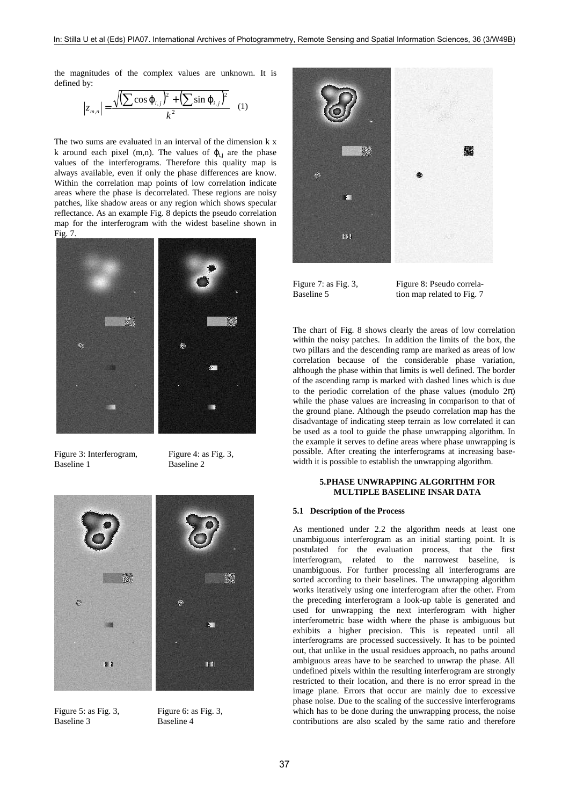the magnitudes of the complex values are unknown. It is defined by:

$$
|z_{m,n}| = \frac{\sqrt{\left(\sum \cos \varphi_{i,j}\right)^2 + \left(\sum \sin \varphi_{i,j}\right)^2}}{k^2} \quad (1)
$$

The two sums are evaluated in an interval of the dimension k x k around each pixel (m,n). The values of  $\varphi_{i,j}$  are the phase values of the interferograms. Therefore this quality map is always available, even if only the phase differences are know. Within the correlation map points of low correlation indicate areas where the phase is decorrelated. These regions are noisy patches, like shadow areas or any region which shows specular reflectance. As an example Fig. 8 depicts the pseudo correlation map for the interferogram with the widest baseline shown in Fig. 7.



Figure 3: Interferogram, Figure 4: as Fig. 3,<br>Baseline 1 Baseline 2 Baseline 1



Baseline 3 Baseline 4

Figure 5: as Fig. 3, Figure 6: as Fig. 3,



Figure 7: as Fig. 3, Figure 8: Pseudo correla-Baseline 5 tion map related to Fig. 7

The chart of Fig. 8 shows clearly the areas of low correlation within the noisy patches. In addition the limits of the box, the two pillars and the descending ramp are marked as areas of low correlation because of the considerable phase variation, although the phase within that limits is well defined. The border of the ascending ramp is marked with dashed lines which is due to the periodic correlation of the phase values (modulo  $2\pi$ ) while the phase values are increasing in comparison to that of the ground plane. Although the pseudo correlation map has the disadvantage of indicating steep terrain as low correlated it can be used as a tool to guide the phase unwrapping algorithm. In the example it serves to define areas where phase unwrapping is possible. After creating the interferograms at increasing basewidth it is possible to establish the unwrapping algorithm.

### **5.PHASE UNWRAPPING ALGORITHM FOR MULTIPLE BASELINE INSAR DATA**

#### **5.1 Description of the Process**

As mentioned under 2.2 the algorithm needs at least one unambiguous interferogram as an initial starting point. It is postulated for the evaluation process, that the first interferogram, related to the narrowest baseline, is unambiguous. For further processing all interferograms are sorted according to their baselines. The unwrapping algorithm works iteratively using one interferogram after the other. From the preceding interferogram a look-up table is generated and used for unwrapping the next interferogram with higher interferometric base width where the phase is ambiguous but exhibits a higher precision. This is repeated until all interferograms are processed successively. It has to be pointed out, that unlike in the usual residues approach, no paths around ambiguous areas have to be searched to unwrap the phase. All undefined pixels within the resulting interferogram are strongly restricted to their location, and there is no error spread in the image plane. Errors that occur are mainly due to excessive phase noise. Due to the scaling of the successive interferograms which has to be done during the unwrapping process, the noise contributions are also scaled by the same ratio and therefore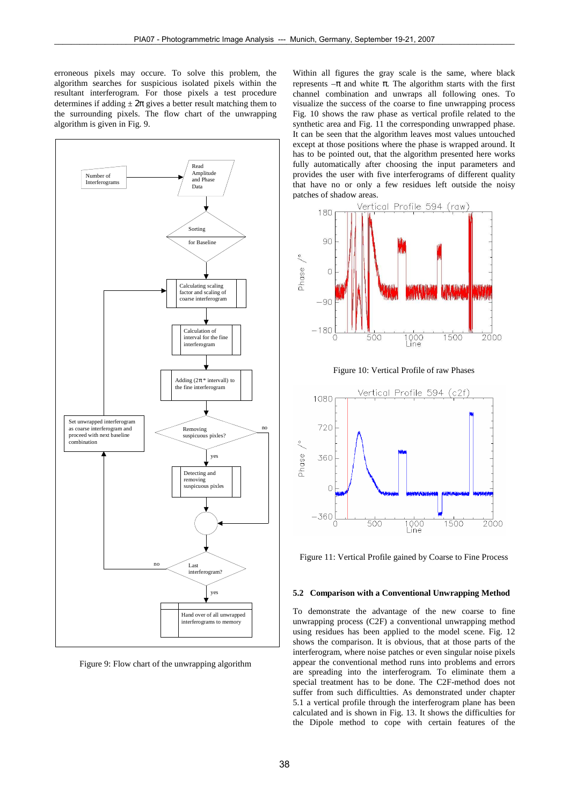erroneous pixels may occure. To solve this problem, the algorithm searches for suspicious isolated pixels within the resultant interferogram. For those pixels a test procedure determines if adding  $\pm 2\pi$  gives a better result matching them to the surrounding pixels. The flow chart of the unwrapping algorithm is given in Fig. 9.



Figure 9: Flow chart of the unwrapping algorithm

Within all figures the gray scale is the same, where black represents  $-\pi$  and white π. The algorithm starts with the first channel combination and unwraps all following ones. To visualize the success of the coarse to fine unwrapping process Fig. 10 shows the raw phase as vertical profile related to the synthetic area and Fig. 11 the corresponding unwrapped phase. It can be seen that the algorithm leaves most values untouched except at those positions where the phase is wrapped around. It has to be pointed out, that the algorithm presented here works fully automatically after choosing the input parameters and provides the user with five interferograms of different quality that have no or only a few residues left outside the noisy patches of shadow areas.



Figure 10: Vertical Profile of raw Phases



Figure 11: Vertical Profile gained by Coarse to Fine Process

#### **5.2 Comparison with a Conventional Unwrapping Method**

To demonstrate the advantage of the new coarse to fine unwrapping process (C2F) a conventional unwrapping method using residues has been applied to the model scene. Fig. 12 shows the comparison. It is obvious, that at those parts of the interferogram, where noise patches or even singular noise pixels appear the conventional method runs into problems and errors are spreading into the interferogram. To eliminate them a special treatment has to be done. The C2F-method does not suffer from such difficultties. As demonstrated under chapter 5.1 a vertical profile through the interferogram plane has been calculated and is shown in Fig. 13. It shows the difficulties for the Dipole method to cope with certain features of the